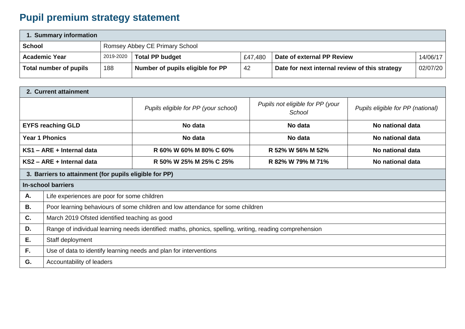## **Pupil premium strategy statement**

| 1. Summary information |           |                                  |         |                                                |          |  |  |
|------------------------|-----------|----------------------------------|---------|------------------------------------------------|----------|--|--|
| <b>School</b>          |           | Romsey Abbey CE Primary School   |         |                                                |          |  |  |
| <b>Academic Year</b>   | 2019-2020 | <b>Total PP budget</b>           | £47,480 | Date of external PP Review                     | 14/06/17 |  |  |
| Total number of pupils | 188       | Number of pupils eligible for PP | 42      | Date for next internal review of this strategy | 02/07/20 |  |  |

| 2. Current attainment                                  |                                                                                                         |                                      |                                            |                                   |  |  |  |
|--------------------------------------------------------|---------------------------------------------------------------------------------------------------------|--------------------------------------|--------------------------------------------|-----------------------------------|--|--|--|
|                                                        |                                                                                                         | Pupils eligible for PP (your school) | Pupils not eligible for PP (your<br>School | Pupils eligible for PP (national) |  |  |  |
|                                                        | <b>EYFS reaching GLD</b>                                                                                | No data                              | No data                                    | No national data                  |  |  |  |
| <b>Year 1 Phonics</b>                                  |                                                                                                         | No data                              | No data                                    | No national data                  |  |  |  |
| KS1 - ARE + Internal data                              |                                                                                                         | R 60% W 60% M 80% C 60%              | R 52% W 56% M 52%                          | No national data                  |  |  |  |
|                                                        | KS2 - ARE + Internal data                                                                               | R 50% W 25% M 25% C 25%              | R 82% W 79% M 71%                          | No national data                  |  |  |  |
| 3. Barriers to attainment (for pupils eligible for PP) |                                                                                                         |                                      |                                            |                                   |  |  |  |
| <b>In-school barriers</b>                              |                                                                                                         |                                      |                                            |                                   |  |  |  |
| Α.                                                     | Life experiences are poor for some children                                                             |                                      |                                            |                                   |  |  |  |
| <b>B.</b>                                              | Poor learning behaviours of some children and low attendance for some children                          |                                      |                                            |                                   |  |  |  |
| C.                                                     | March 2019 Ofsted identified teaching as good                                                           |                                      |                                            |                                   |  |  |  |
| D.                                                     | Range of individual learning needs identified: maths, phonics, spelling, writing, reading comprehension |                                      |                                            |                                   |  |  |  |
| Ε.                                                     | Staff deployment                                                                                        |                                      |                                            |                                   |  |  |  |
| F.                                                     | Use of data to identify learning needs and plan for interventions                                       |                                      |                                            |                                   |  |  |  |
| G.                                                     | Accountability of leaders                                                                               |                                      |                                            |                                   |  |  |  |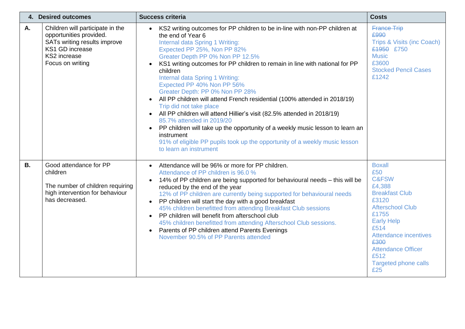| 4. Desired outcomes |                                                                                                                                                    | <b>Success criteria</b>                                                                                                                                                                                                                                                                                                                                                                                                                                                                                                                                                                                                                                                                                                                                                                                                                               | <b>Costs</b>                                                                                                                                                                                                                                                             |
|---------------------|----------------------------------------------------------------------------------------------------------------------------------------------------|-------------------------------------------------------------------------------------------------------------------------------------------------------------------------------------------------------------------------------------------------------------------------------------------------------------------------------------------------------------------------------------------------------------------------------------------------------------------------------------------------------------------------------------------------------------------------------------------------------------------------------------------------------------------------------------------------------------------------------------------------------------------------------------------------------------------------------------------------------|--------------------------------------------------------------------------------------------------------------------------------------------------------------------------------------------------------------------------------------------------------------------------|
| A.                  | Children will participate in the<br>opportunities provided.<br>SATs writing results improve<br>KS1 GD increase<br>KS2 increase<br>Focus on writing | KS2 writing outcomes for PP children to be in-line with non-PP children at<br>the end of Year 6<br>Internal data Spring 1 Writing:<br>Expected PP 25%, Non PP 82%<br>Greater Depth PP 0% Non PP 12.5%<br>KS1 writing outcomes for PP children to remain in line with national for PP<br>children<br>Internal data Spring 1 Writing:<br>Expected PP 40% Non PP 56%<br>Greater Depth: PP 0% Non PP 28%<br>All PP children will attend French residential (100% attended in 2018/19)<br>$\bullet$<br>Trip did not take place<br>All PP children will attend Hillier's visit (82.5% attended in 2018/19)<br>85.7% attended in 2019/20<br>PP children will take up the opportunity of a weekly music lesson to learn an<br>$\bullet$<br>instrument<br>91% of eligible PP pupils took up the opportunity of a weekly music lesson<br>to learn an instrument | <b>France Trip</b><br>£990<br>Trips & Visits (inc Coach)<br>£1950 £750<br><b>Music</b><br>£3600<br><b>Stocked Pencil Cases</b><br>£1242                                                                                                                                  |
| <b>B.</b>           | Good attendance for PP<br>children<br>The number of children requiring<br>high intervention for behaviour<br>has decreased.                        | Attendance will be 96% or more for PP children.<br>$\bullet$<br>Attendance of PP children is 96.0 %<br>14% of PP children are being supported for behavioural needs - this will be<br>reduced by the end of the year<br>12% of PP children are currently being supported for behavioural needs<br>PP children will start the day with a good breakfast<br>$\bullet$<br>45% children benefitted from attending Breakfast Club sessions<br>PP children will benefit from afterschool club<br>$\bullet$<br>45% children benefitted from attending Afterschool Club sessions.<br>Parents of PP children attend Parents Evenings<br>November 90.5% of PP Parents attended                                                                                                                                                                                  | <b>Boxall</b><br>£50<br><b>C&amp;FSW</b><br>£4,388<br><b>Breakfast Club</b><br>£3120<br><b>Afterschool Club</b><br>£1755<br><b>Early Help</b><br>£514<br><b>Attendance incentives</b><br>£300<br><b>Attendance Officer</b><br>£512<br><b>Targeted phone calls</b><br>£25 |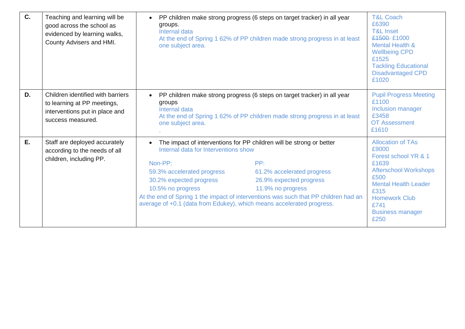| $C_{1}$ | Teaching and learning will be<br>good across the school as<br>evidenced by learning walks,<br>County Advisers and HMI.  | groups.<br>Internal data<br>one subject area.                                                                                                                                                          | PP children make strong progress (6 steps on target tracker) in all year<br>At the end of Spring 1 62% of PP children made strong progress in at least                                                                                           |                                                                                                                                                                                                                      |  |
|---------|-------------------------------------------------------------------------------------------------------------------------|--------------------------------------------------------------------------------------------------------------------------------------------------------------------------------------------------------|--------------------------------------------------------------------------------------------------------------------------------------------------------------------------------------------------------------------------------------------------|----------------------------------------------------------------------------------------------------------------------------------------------------------------------------------------------------------------------|--|
| D.      | Children identified with barriers<br>to learning at PP meetings,<br>interventions put in place and<br>success measured. | groups<br>Internal data<br>one subject area.                                                                                                                                                           | PP children make strong progress (6 steps on target tracker) in all year<br>At the end of Spring 1 62% of PP children made strong progress in at least                                                                                           |                                                                                                                                                                                                                      |  |
| E.      | Staff are deployed accurately<br>according to the needs of all<br>children, including PP.                               | Internal data for Interventions show<br>Non-PP:<br>59.3% accelerated progress<br>30.2% expected progress<br>10.5% no progress<br>average of +0.1 (data from Edukey), which means accelerated progress. | The impact of interventions for PP children will be strong or better<br>PP:<br>61.2% accelerated progress<br>26.9% expected progress<br>11.9% no progress<br>At the end of Spring 1 the impact of interventions was such that PP children had an | <b>Allocation of TAs</b><br>£9000<br>Forest school YR & 1<br>£1639<br><b>Afterschool Workshops</b><br>£500<br><b>Mental Health Leader</b><br>£315<br><b>Homework Club</b><br>£741<br><b>Business manager</b><br>£250 |  |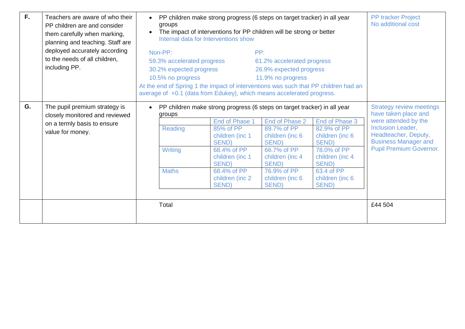| $F_{\rm{L}}$ | Teachers are aware of who their<br>PP children are and consider<br>them carefully when marking,<br>planning and teaching. Staff are<br>deployed accurately according<br>to the needs of all children,<br>including PP. | $\bullet$<br>groups<br>The impact of interventions for PP children will be strong or better<br>Internal data for Interventions show<br>Non-PP:<br>59.3% accelerated progress<br>30.2% expected progress<br>10.5% no progress<br>average of +0.1 (data from Edukey), which means accelerated progress. |       |  | PP children make strong progress (6 steps on target tracker) in all year<br>PP:<br>61.2% accelerated progress<br>26.9% expected progress<br>11.9% no progress<br>At the end of Spring 1 the impact of interventions was such that PP children had an |                                                                                                                                                               | <b>PP tracker Project</b><br>No additional cost                                                                                                                                               |
|--------------|------------------------------------------------------------------------------------------------------------------------------------------------------------------------------------------------------------------------|-------------------------------------------------------------------------------------------------------------------------------------------------------------------------------------------------------------------------------------------------------------------------------------------------------|-------|--|------------------------------------------------------------------------------------------------------------------------------------------------------------------------------------------------------------------------------------------------------|---------------------------------------------------------------------------------------------------------------------------------------------------------------|-----------------------------------------------------------------------------------------------------------------------------------------------------------------------------------------------|
| G.           | The pupil premium strategy is<br>closely monitored and reviewed<br>on a termly basis to ensure<br>value for money.                                                                                                     | PP children make strong progress (6 steps on target tracker) in all year<br>groups<br>End of Phase 1<br>Reading<br>85% of PP<br>children (inc 1<br><b>SEND)</b><br>Writing<br>68.4% of PP<br>children (inc 1<br>SEND)<br><b>Maths</b><br>68.4% of PP<br>children (inc 2)<br>SEND)                     |       |  | End of Phase 2<br>89.7% of PP<br>children (inc 6<br><b>SEND)</b><br>66.7% of PP<br>children (inc 4<br>SEND)<br>76.9% of PP<br>children (inc 6<br>SEND)                                                                                               | End of Phase 3<br>82.9% of PP<br>children (inc 6<br><b>SEND</b> )<br>78.0% of PP<br>children (inc 4<br><b>SEND)</b><br>63.4 of PP<br>children (inc 6<br>SEND) | <b>Strategy review meetings</b><br>have taken place and<br>were attended by the<br>Inclusion Leader,<br>Headteacher, Deputy,<br><b>Business Manager and</b><br><b>Pupil Premium Governor.</b> |
|              |                                                                                                                                                                                                                        |                                                                                                                                                                                                                                                                                                       | Total |  |                                                                                                                                                                                                                                                      |                                                                                                                                                               | £44 504                                                                                                                                                                                       |